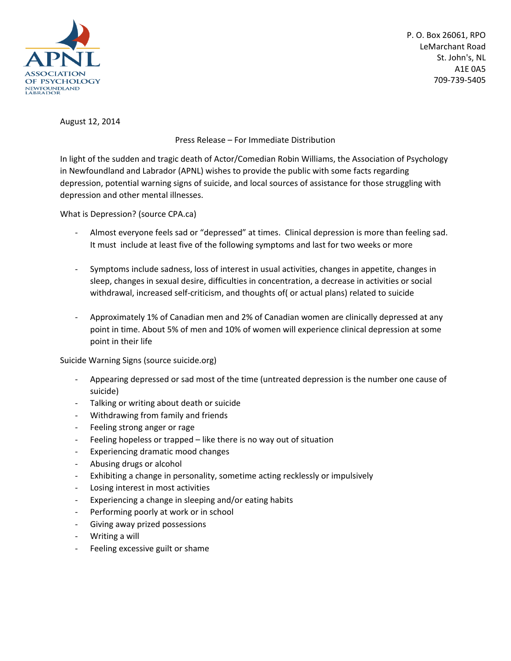

P. O. Box 26061, RPO LeMarchant Road St. John's, NL A1E 0A5 709-739-5405

August 12, 2014

Press Release – For Immediate Distribution

In light of the sudden and tragic death of Actor/Comedian Robin Williams, the Association of Psychology in Newfoundland and Labrador (APNL) wishes to provide the public with some facts regarding depression, potential warning signs of suicide, and local sources of assistance for those struggling with depression and other mental illnesses.

What is Depression? (source CPA.ca)

- Almost everyone feels sad or "depressed" at times. Clinical depression is more than feeling sad. It must include at least five of the following symptoms and last for two weeks or more
- Symptoms include sadness, loss of interest in usual activities, changes in appetite, changes in sleep, changes in sexual desire, difficulties in concentration, a decrease in activities or social withdrawal, increased self-criticism, and thoughts of( or actual plans) related to suicide
- Approximately 1% of Canadian men and 2% of Canadian women are clinically depressed at any point in time. About 5% of men and 10% of women will experience clinical depression at some point in their life

Suicide Warning Signs (source suicide.org)

- Appearing depressed or sad most of the time (untreated depression is the number one cause of suicide)
- Talking or writing about death or suicide
- Withdrawing from family and friends
- Feeling strong anger or rage
- Feeling hopeless or trapped like there is no way out of situation
- Experiencing dramatic mood changes
- Abusing drugs or alcohol
- Exhibiting a change in personality, sometime acting recklessly or impulsively
- Losing interest in most activities
- Experiencing a change in sleeping and/or eating habits
- Performing poorly at work or in school
- Giving away prized possessions
- Writing a will
- Feeling excessive guilt or shame